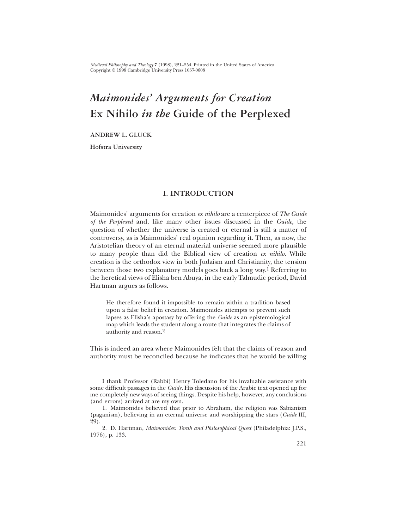# *Maimonides' Arguments for Creation* **Ex Nihilo** *in the* **Guide of the Perplexed**

**ANDREW L. GLUCK**

**Hofstra University**

# **I. INTRODUCTION**

Maimonides' arguments for creation *ex nihilo* are a centerpiece of *The Guide of the Perplexed* and, like many other issues discussed in the *Guide,* the question of whether the universe is created or eternal is still a matter of controversy, as is Maimonides' real opinion regarding it. Then, as now, the Aristotelian theory of an eternal material universe seemed more plausible to many people than did the Biblical view of creation *ex nihilo.* While creation is the orthodox view in both Judaism and Christianity, the tension between those two explanatory models goes back a long way.1 Referring to the heretical views of Elisha ben Abuya, in the early Talmudic period, David Hartman argues as follows.

He therefore found it impossible to remain within a tradition based upon a false belief in creation. Maimonides attempts to prevent such lapses as Elisha's apostasy by offering the *Guide* as an epistemological map which leads the student along a route that integrates the claims of authority and reason.2

This is indeed an area where Maimonides felt that the claims of reason and authority must be reconciled because he indicates that he would be willing

I thank Professor (Rabbi) Henry Toledano for his invaluable assistance with some difficult passages in the *Guide.* His discussion of the Arabic text opened up for me completely new ways of seeing things. Despite his help, however, any conclusions (and errors) arrived at are my own.

1. Maimonides believed that prior to Abraham, the religion was Sabianism (paganism), believing in an eternal universe and worshipping the stars (*Guide* III, 29).

2. D. Hartman, *Maimonides: Torah and Philosophical Quest* (Philadelphia: J.P.S., 1976), p. 133.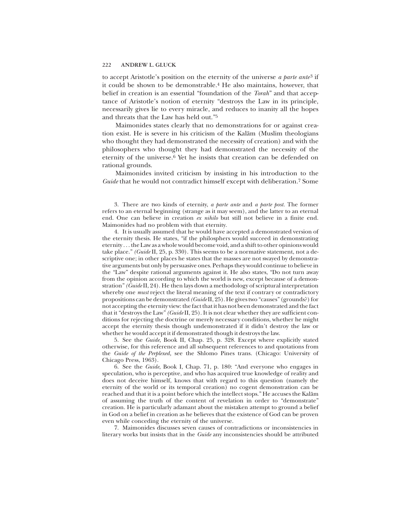to accept Aristotle's position on the eternity of the universe *a parte ante*<sup>3</sup> if it could be shown to be demonstrable.4 He also maintains, however, that belief in creation is an essential "foundation of the *Torah*" and that acceptance of Aristotle's notion of eternity "destroys the Law in its principle, necessarily gives lie to every miracle, and reduces to inanity all the hopes and threats that the Law has held out."5

Maimonides states clearly that no demonstrations for or against creation exist. He is severe in his criticism of the Kalām (Muslim theologians who thought they had demonstrated the necessity of creation) and with the philosophers who thought they had demonstrated the necessity of the eternity of the universe.6 Yet he insists that creation can be defended on rational grounds.

Maimonides invited criticism by insisting in his introduction to the *Guide* that he would not contradict himself except with deliberation.7 Some

3. There are two kinds of eternity, *a parte ante* and *a parte post.* The former refers to an eternal beginning (strange as it may seem), and the latter to an eternal end. One can believe in creation *ex nihilo* but still not believe in a finite end. Maimonides had no problem with that eternity.

4. It is usually assumed that he would have accepted a demonstrated version of the eternity thesis. He states, "if the philosphers would succeed in demonstrating eternity . . . the Law as a whole would become void, and a shift to other opinions would take place." *(Guide* II, 25, p. 330). This seems to be a normative statement, not a descriptive one; in other places he states that the masses are not swayed by demonstrative arguments but only by persuasive ones. Perhaps they would continue to believe in the "Law" despite rational arguments against it. He also states, "Do not turn away from the opinion according to which the world is new, except because of a demonstration" *(Guide* II, 24). He then lays down a methodology of scriptural interpretation whereby one *must* reject the literal meaning of the text if contrary or contradictory propositions can be demonstrated *(Guide*II, 25). He gives two "causes" (grounds?) for not accepting the eternity view: the fact that it has not been demonstrated and the fact that it "destroys the Law" *(Guide* II, 25). It is not clear whether they are sufficient conditions for rejecting the doctrine or merely necessary conditions, whether he might accept the eternity thesis though undemonstrated if it didn't destroy the law or whether he would accept it if demonstrated though it destroys the law.

5. See the *Guide*, Book II, Chap. 25, p. 328. Except where explicitly stated otherwise, for this reference and all subsequent references to and quotations from the *Guide of the Perplexed,* see the Shlomo Pines trans. (Chicago: University of Chicago Press, 1963).

6. See the *Guide*, Book I, Chap. 71, p. 180: "And everyone who engages in speculation, who is perceptive, and who has acquired true knowledge of reality and does not deceive himself, knows that with regard to this question (namely the eternity of the world or its temporal creation) no cogent demonstration can be reached and that it is a point before which the intellect stops." He accuses the Kalām of assuming the truth of the content of revelation in order to "demonstrate" creation. He is particularly adamant about the mistaken attempt to ground a belief in God on a belief in creation as he believes that the existence of God can be proven even while conceding the eternity of the universe.

7. Maimonides discusses seven causes of contradictions or inconsistencies in literary works but insists that in the *Guide* any inconsistencies should be attributed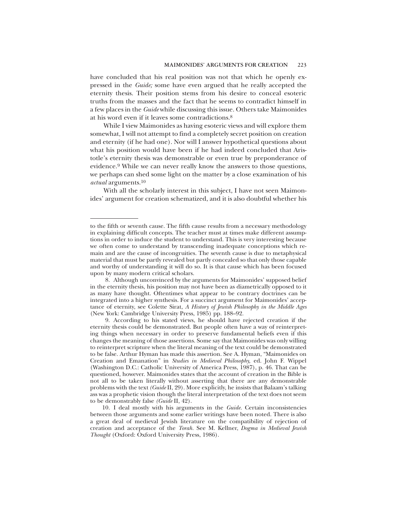have concluded that his real position was not that which he openly expressed in the *Guide;* some have even argued that he really accepted the eternity thesis. Their position stems from his desire to conceal esoteric truths from the masses and the fact that he seems to contradict himself in a few places in the *Guide* while discussing this issue. Others take Maimonides at his word even if it leaves some contradictions.8

While I view Maimonides as having esoteric views and will explore them somewhat, I will not attempt to find a completely secret position on creation and eternity (if he had one). Nor will I answer hypothetical questions about what his position would have been if he had indeed concluded that Aristotle's eternity thesis was demonstrable or even true by preponderance of evidence.9 While we can never really know the answers to those questions, we perhaps can shed some light on the matter by a close examination of his *actual* arguments.10

With all the scholarly interest in this subject, I have not seen Maimonides' argument for creation schematized, and it is also doubtful whether his

10. I deal mostly with his arguments in the *Guide.* Certain inconsistencies between those arguments and some earlier writings have been noted. There is also a great deal of medieval Jewish literature on the compatibility of rejection of creation and acceptance of the *Torah.* See M. Kellner, *Dogma in Medieval Jewish Thought* (Oxford: Oxford University Press, 1986).

to the fifth or seventh cause. The fifth cause results from a necessary methodology in explaining difficult concepts. The teacher must at times make different assumptions in order to induce the student to understand. This is very interesting because we often come to understand by transcending inadequate conceptions which remain and are the cause of incongruities. The seventh cause is due to metaphysical material that must be partly revealed but partly concealed so that only those capable and worthy of understanding it will do so. It is that cause which has been focused upon by many modern critical scholars.

<sup>8.</sup> Although unconvinced by the arguments for Maimonides' supposed belief in the eternity thesis, his position may not have been as diametrically opposed to it as many have thought. Oftentimes what appear to be contrary doctrines can be integrated into a higher synthesis. For a succinct argument for Maimonides' acceptance of eternity, see Colette Sirat, *A History of Jewish Philosophy in the Middle Ages* (New York: Cambridge University Press, 1985) pp. 188–92.

<sup>9.</sup> According to his stated views, he should have rejected creation if the eternity thesis could be demonstrated. But people often have a way of reinterpreting things when necessary in order to preserve fundamental beliefs even if this changes the meaning of those assertions. Some say that Maimonides was only willing to reinterpret scripture when the literal meaning of the text could be demonstrated to be false. Arthur Hyman has made this assertion. See A. Hyman, "Maimonides on Creation and Emanation" in *Studies in Medieval Philosophy,* ed. John F. Wippel (Washington D.C.: Catholic University of America Press, 1987), p. 46. That can be questioned, however. Maimonides states that the account of creation in the Bible is not all to be taken literally without asserting that there are any demonstrable problems with the text *(Guide* II, 29). More explicitly, he insists that Balaam's talking ass was a prophetic vision though the literal interpretation of the text does not seem to be demonstrably false *(Guide* II, 42).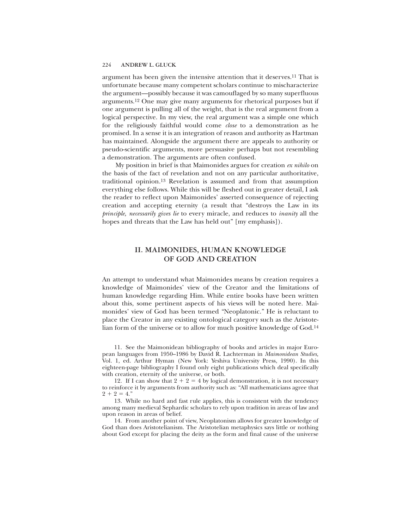argument has been given the intensive attention that it deserves.11 That is unfortunate because many competent scholars continue to mischaracterize the argument—possibly because it was camouflaged by so many superfluous arguments.12 One may give many arguments for rhetorical purposes but if one argument is pulling all of the weight, that is the real argument from a logical perspective. In my view, the real argument was a simple one which for the religiously faithful would come *close* to a demonstration as he promised. In a sense it is an integration of reason and authority as Hartman has maintained. Alongside the argument there are appeals to authority or pseudo-scientific arguments, more persuasive perhaps but not resembling a demonstration. The arguments are often confused.

My position in brief is that Maimonides argues for creation *ex nihilo* on the basis of the fact of revelation and not on any particular authoritative, traditional opinion.13 Revelation is assumed and from that assumption everything else follows. While this will be fleshed out in greater detail, I ask the reader to reflect upon Maimonides' asserted consequence of rejecting creation and accepting eternity (a result that "destroys the Law in its *principle, necessarily gives lie* to every miracle, and reduces to *inanity* all the hopes and threats that the Law has held out" [my emphasis]).

# **II. MAIMONIDES, HUMAN KNOWLEDGE OF GOD AND CREATION**

An attempt to understand what Maimonides means by creation requires a knowledge of Maimonides' view of the Creator and the limitations of human knowledge regarding Him. While entire books have been written about this, some pertinent aspects of his views will be noted here. Maimonides' view of God has been termed "Neoplatonic." He is reluctant to place the Creator in any existing ontological category such as the Aristotelian form of the universe or to allow for much positive knowledge of God.<sup>14</sup>

11. See the Maimonidean bibliography of books and articles in major European languages from 1950–1986 by David R. Lachterman in *Maimonidean Studies,* Vol. 1, ed. Arthur Hyman (New York: Yeshiva University Press, 1990). In this eighteen-page bibliography I found only eight publications which deal specifically with creation, eternity of the universe, or both.

12. If I can show that  $2 + 2 = 4$  by logical demonstration, it is not necessary to reinforce it by arguments from authority such as: "All mathematicians agree that  $2 + 2 = 4.$ "

13. While no hard and fast rule applies, this is consistent with the tendency among many medieval Sephardic scholars to rely upon tradition in areas of law and upon reason in areas of belief.

14. From another point of view, Neoplatonism allows for greater knowledge of God than does Aristotelianism. The Aristotelian metaphysics says little or nothing about God except for placing the deity as the form and final cause of the universe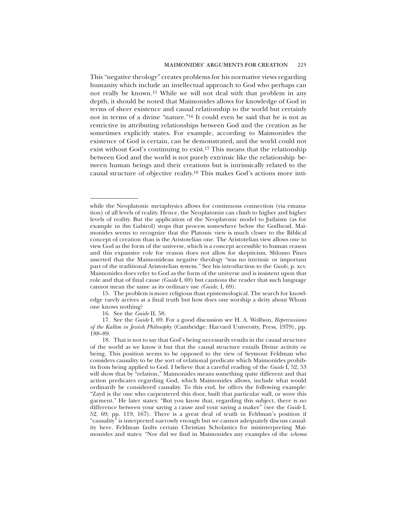This "negative theology" creates problems for his normative views regarding humanity which include an intellectual approach to God who perhaps can not really be known.15 While we will not deal with that problem in any depth, it should be noted that Maimonides allows for knowledge of God in terms of sheer existence and causal relationship to the world but certainly not in terms of a divine "nature."16 It could even be said that he is not as restrictive in attributing relationships between God and the creation as he sometimes explicitly states. For example, according to Maimonides the existence of God is certain, can be demonstrated, and the world could not exist without God's continuing to exist.17 This means that the relationship between God and the world is not purely extrinsic like the relationship between human beings and their creations but is intrinsically related to the causal structure of objective reality.18 This makes God's actions more inti-

15. The problem is more religious than epistemological. The search for knowledge rarely arrives at a final truth but how does one worship a deity about Whom one knows nothing?

16. See the *Guide* II, 58.

while the Neoplatonic metaphysics allows for continuous connection (via emanation) of all levels of reality. Hence, the Neoplatonist can climb to higher and higher levels of reality. But the application of the Neoplatonic model to Judaism (as for example in ibn Gabirol) stops that process somewhere below the Godhead. Maimonides seems to recognize that the Platonic view is much closer to the Biblical concept of creation than is the Aristotelian one. The Aristotelian view allows one to view God as the form of the universe, which is a concept accessible to human reason and this expansive role for reason does not allow for skepticism. Shlomo Pines asserted that the Maimonidean negative theology "was no intrinsic or important part of the traditional Aristotelian system." See his introduction to the *Guide,* p. xcv. Maimonides does refer to God as the form of the universe and is insistent upon that role and that of final cause *(Guide* I, 69) but cautions the reader that such language cannot mean the same as its ordinary use *(Guide,* I, 69).

<sup>17.</sup> See the *Guide* I, 69. For a good discussion see H. A. Wolfson, *Repercussions of the Kal˜am in Jewish Philosophy* (Cambridge: Harvard University, Press, 1979), pp. 188–89.

<sup>18.</sup> That is not to say that God's being necessarily results in the causal structure of the world as we know it but that the causal structure entails Divine activity or being. This position seems to be opposed to the view of Seymour Feldman who considers causality to be the sort of relational predicate which Maimonides prohibits from being applied to God. I believe that a careful reading of the *Guide* I, 52, 53 will show that by "relation," Maimonides means something quite different and that action predicates regarding God, which Maimonides allows, include what would ordinarily be considered causality. To this end, he offers the following example: "Zayd is the one who carpentered this door, built that particular wall, or wove this garment." He later states: "But you know that, regarding this subject, there is no difference between your saying a cause and your saying a maker" (see the *Guide* I, 52, 69; pp. 119, 167). There is a great deal of truth in Feldman's position if "causality" is interpreted narrowly enough but we cannot adequately discuss causality here. Feldman faults certain Christian Scholastics for misinterpreting Maimonides and states: "Nor did we find in Maimonides any examples of the *schema*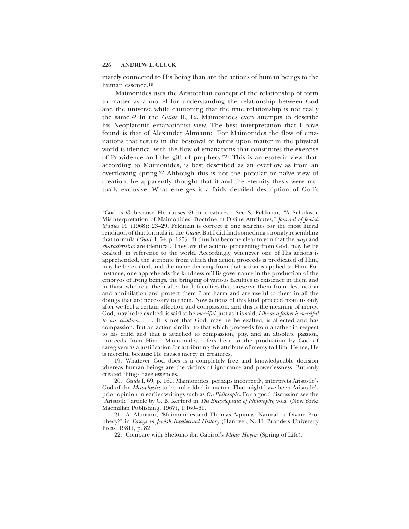mately connected to His Being than are the actions of human beings to the human essence.19

Maimonides uses the Aristotelian concept of the relationship of form to matter as a model for understanding the relationship between God and the universe while cautioning that the true relationship is not really the same.20 In the *Guide* II, 12, Maimonides even attempts to describe his Neoplatonic emanationist view. The best interpretation that I have found is that of Alexander Altmann: "For Maimonides the flow of emanations that results in the bestowal of forms upon matter in the physical world is identical with the flow of emanations that constitutes the exercise of Providence and the gift of prophecy."21 This is an esoteric view that, according to Maimonides, is best described as an overflow as from an overflowing spring.22 Although this is not the popular or naïve view of creation, he apparently thought that it and the eternity thesis were mutually exclusive. What emerges is a fairly detailed description of God's

19. Whatever God does is a completely free and knowledgeable decision whereas human beings are the victims of ignorance and powerlessness. But only created things have essences.

20. *Guide* I, 69, p. 169. Maimonides, perhaps incorrectly, interprets Aristotle's God of the *Metaphysics* to be imbedded in matter. That might have been Aristotle's prior opinion in earlier writings such as *On Philosophy.* For a good discussion see the "Aristotle" article by G. B. Kerferd in *The Encyclopedia of Philosophy,* vols. (New York: Macmillan Publishing, 1967), 1:160–61.

21. A. Altmann, "Maimonides and Thomas Aquinas: Natural or Divine Prophecy?" in *Essays in Jewish Intellectual History* (Hanover, N. H. Brandeis University Press, 1981), p. 82.

22. Compare with Shelomo ibn Gabirol's *Mekor Hayim* (Spring of Life).

<sup>&</sup>quot;God is  $\emptyset$  because He causes  $\emptyset$  in creatures." See S. Feldman, "A Scholastic Misinterpretation of Maimonides' Doctrine of Divine Attributes," *Journal of Jewish Studies* 19 (1968): 23–29. Feldman is correct if one searches for the most literal rendition of that formula in the *Guide.* But I did find something strongly resembling that formula (*Guide* I, 54, p. 125): "It thus has become clear to you that the *ways* and *characteristics* are identical. They are the actions proceeding from God, may he be exalted, in reference to the world. Accordingly, whenever one of His actions is apprehended, the attribute from which this action proceeds is predicated of Him, may he be exalted, and the name deriving from that action is applied to Him. For instance, one apprehends the kindness of His governance in the production of the embryos of living beings, the bringing of various faculties to existence in them and in those who rear them after birth faculties that preserve them from destruction and annihilation and protect them from harm and are useful to them in all the doings that are necessary to them. Now actions of this kind proceed from us only after we feel a certain affection and compassion, and this is the meaning of mercy. God, may he be exalted, is said to be *merciful,* just as it is said, *Like as a father is merciful to his children,* . . . It is not that God, may he be exalted, is affected and has compassion. But an action similar to that which proceeds from a father in respect to his child and that is attached to compassion, pity, and an absolute passion, proceeds from Him." Maimonides refers here to the production by God of caregivers as a justification for attributing the attribute of mercy to Him. Hence, He is merciful because He causes mercy in creatures.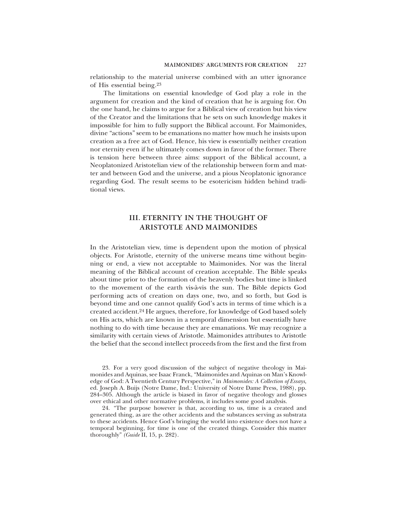relationship to the material universe combined with an utter ignorance of His essential being.23

The limitations on essential knowledge of God play a role in the argument for creation and the kind of creation that he is arguing for. On the one hand, he claims to argue for a Biblical view of creation but his view of the Creator and the limitations that he sets on such knowledge makes it impossible for him to fully support the Biblical account. For Maimonides, divine "actions" seem to be emanations no matter how much he insists upon creation as a free act of God. Hence, his view is essentially neither creation nor eternity even if he ultimately comes down in favor of the former. There is tension here between three aims: support of the Biblical account, a Neoplatonized Aristotelian view of the relationship between form and matter and between God and the universe, and a pious Neoplatonic ignorance regarding God. The result seems to be esotericism hidden behind traditional views.

# **III. ETERNITY IN THE THOUGHT OF ARISTOTLE AND MAIMONIDES**

In the Aristotelian view, time is dependent upon the motion of physical objects. For Aristotle, eternity of the universe means time without beginning or end, a view not acceptable to Maimonides. Nor was the literal meaning of the Biblical account of creation acceptable. The Bible speaks about time prior to the formation of the heavenly bodies but time is linked to the movement of the earth vis-à-vis the sun. The Bible depicts God performing acts of creation on days one, two, and so forth, but God is beyond time and one cannot qualify God's acts in terms of time which is a created accident.24 He argues, therefore, for knowledge of God based solely on His acts, which are known in a temporal dimension but essentially have nothing to do with time because they are emanations. We may recognize a similarity with certain views of Aristotle. Maimonides attributes to Aristotle the belief that the second intellect proceeds from the first and the first from

23. For a very good discussion of the subject of negative theology in Maimonides and Aquinas, see Isaac Franck, "Maimonides and Aquinas on Man's Knowledge of God: A Twentieth Century Perspective," in *Maimonides: A Collection of Essays,* ed. Joseph A. Buijs (Notre Dame, Ind.: University of Notre Dame Press, 1988), pp. 284–305. Although the article is biased in favor of negative theology and glosses over ethical and other normative problems, it includes some good analysis.

24. "The purpose however is that, according to us, time is a created and generated thing, as are the other accidents and the substances serving as substrata to these accidents. Hence God's bringing the world into existence does not have a temporal beginning, for time is one of the created things. Consider this matter thoroughly" *(Guide* II, 15, p. 282).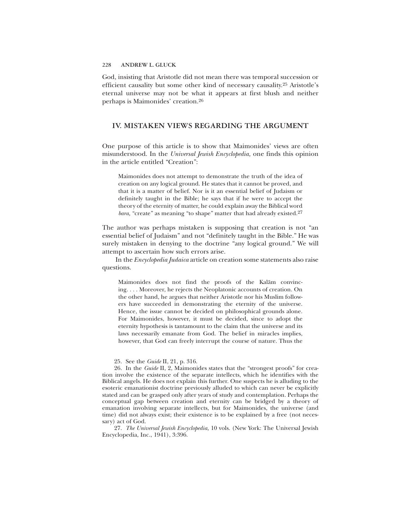God, insisting that Aristotle did not mean there was temporal succession or efficient causality but some other kind of necessary causality.25 Aristotle's eternal universe may not be what it appears at first blush and neither perhaps is Maimonides' creation.26

## **IV. MISTAKEN VIEWS REGARDING THE ARGUMENT**

One purpose of this article is to show that Maimonides' views are often misunderstood. In the *Universal Jewish Encyclopedia,* one finds this opinion in the article entitled "Creation":

Maimonides does not attempt to demonstrate the truth of the idea of creation on any logical ground. He states that it cannot be proved, and that it is a matter of belief. Nor is it an essential belief of Judaism or definitely taught in the Bible; he says that if he were to accept the theory of the eternity of matter, he could explain away the Biblical word *bara,* "create" as meaning "to shape" matter that had already existed.27

The author was perhaps mistaken is supposing that creation is not "an essential belief of Judaism" and not "definitely taught in the Bible." He was surely mistaken in denying to the doctrine "any logical ground." We will attempt to ascertain how such errors arise.

In the *Encyclopedia Judaica* article on creation some statements also raise questions.

Maimonides does not find the proofs of the Kalām convincing. . . . Moreover, he rejects the Neoplatonic accounts of creation. On the other hand, he argues that neither Aristotle nor his Muslim followers have succeeded in demonstrating the eternity of the universe. Hence, the issue cannot be decided on philosophical grounds alone. For Maimonides, however, it must be decided, since to adopt the eternity hypothesis is tantamount to the claim that the universe and its laws necessarily emanate from God. The belief in miracles implies, however, that God can freely interrupt the course of nature. Thus the

25. See the *Guide* II, 21, p. 316.

26. In the *Guide* II, 2, Maimonides states that the "strongest proofs" for creation involve the existence of the separate intellects, which he identifies with the Biblical angels. He does not explain this further. One suspects he is alluding to the esoteric emanationist doctrine previously alluded to which can never be explicitly stated and can be grasped only after years of study and contemplation. Perhaps the conceptual gap between creation and eternity can be bridged by a theory of emanation involving separate intellects, but for Maimonides, the universe (and time) did not always exist; their existence is to be explained by a free (not necessary) act of God.

27. *The Universal Jewish Encyclopedia,* 10 vols. (New York: The Universal Jewish Encyclopedia, Inc., 1941), 3:396.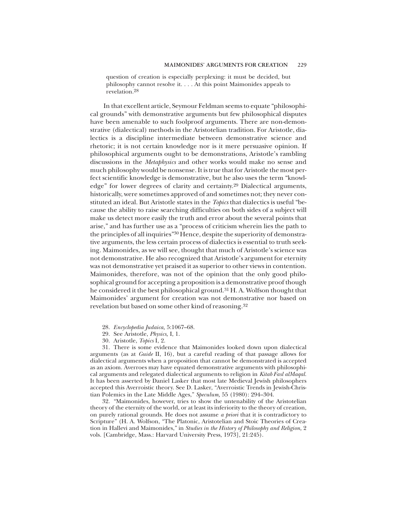question of creation is especially perplexing: it must be decided, but philosophy cannot resolve it. . . . At this point Maimonides appeals to revelation.28

In that excellent article, Seymour Feldman seems to equate "philosophical grounds" with demonstrative arguments but few philosophical disputes have been amenable to such foolproof arguments. There are non-demonstrative (dialectical) methods in the Aristotelian tradition. For Aristotle, dialectics is a discipline intermediate between demonstrative science and rhetoric; it is not certain knowledge nor is it mere persuasive opinion. If philosophical arguments ought to be demonstrations, Aristotle's rambling discussions in the *Metaphysics* and other works would make no sense and much philosophy would be nonsense. It is true that for Aristotle the most perfect scientific knowledge is demonstrative, but he also uses the term "knowledge" for lower degrees of clarity and certainty.29 Dialectical arguments, historically, were sometimes approved of and sometimes not; they never constituted an ideal. But Aristotle states in the *Topics* that dialectics is useful "because the ability to raise searching difficulties on both sides of a subject will make us detect more easily the truth and error about the several points that arise," and has further use as a "process of criticism wherein lies the path to the principles of all inquiries"30 Hence, despite the superiority of demonstrative arguments, the less certain process of dialectics is essential to truth seeking. Maimonides, as we will see, thought that much of Aristotle's science was not demonstrative. He also recognized that Aristotle's argument for eternity was not demonstrative yet praised it as superior to other views in contention. Maimonides, therefore, was not of the opinion that the only good philosophical ground for accepting a proposition is a demonstrative proof though he considered it the best philosophical ground.31 H. A. Wolfson thought that Maimonides' argument for creation was not demonstrative nor based on revelation but based on some other kind of reasoning.32

- 28. *Encyclopedia Judaica,* 5:1067–68.
- 29. See Aristotle, *Physics,* I, 1.
- 30. Aristotle, *Topics* I, 2.

31. There is some evidence that Maimonides looked down upon dialectical arguments (as at *Guide* II, 16), but a careful reading of that passage allows for dialectical arguments when a proposition that cannot be demonstrated is accepted as an axiom. Averroes may have equated demonstrative arguments with philosophical arguments and relegated dialectical arguments to religion in *Kitab Fasl alMaqal.* It has been asserted by Daniel Lasker that most late Medieval Jewish philosophers accepted this Averroistic theory. See D. Lasker, "Averroistic Trends in Jewish-Christian Polemics in the Late Middle Ages," *Speculum,* 55 (1980): 294–304.

32. "Maimonides, however, tries to show the untenability of the Aristotelian theory of the eternity of the world, or at least its inferiority to the theory of creation, on purely rational grounds. He does not assume *a priori* that it is contradictory to Scripture" (H. A. Wolfson, "The Platonic, Aristotelian and Stoic Theories of Creation in Hallevi and Maimonides," in *Studies in the History of Philosophy and Religion,* 2 vols. [Cambridge, Mass.: Harvard University Press, 1973], 21:245).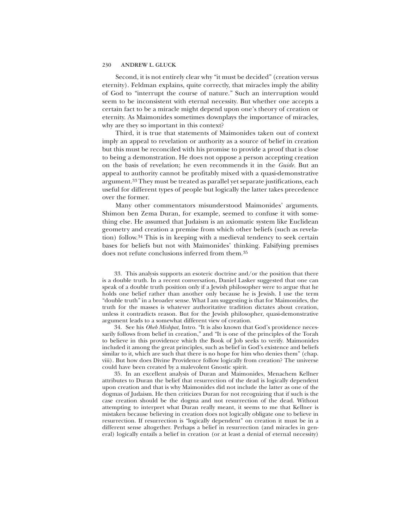Second, it is not entirely clear why "it must be decided" (creation versus eternity). Feldman explains, quite correctly, that miracles imply the ability of God to "interrupt the course of nature." Such an interruption would seem to be inconsistent with eternal necessity. But whether one accepts a certain fact to be a miracle might depend upon one's theory of creation or eternity. As Maimonides sometimes downplays the importance of miracles, why are they so important in this context?

Third, it is true that statements of Maimonides taken out of context imply an appeal to revelation or authority as a source of belief in creation but this must be reconciled with his promise to provide a proof that is close to being a demonstration. He does not oppose a person accepting creation on the basis of revelation; he even recommends it in the *Guide.* But an appeal to authority cannot be profitably mixed with a quasi-demonstrative argument.33 They must be treated as parallel yet separate justifications, each useful for different types of people but logically the latter takes precedence over the former.

Many other commentators misunderstood Maimonides' arguments. Shimon ben Zema Duran, for example, seemed to confuse it with something else. He assumed that Judaism is an axiomatic system like Euclidean geometry and creation a premise from which other beliefs (such as revelation) follow.34 This is in keeping with a medieval tendency to seek certain bases for beliefs but not with Maimonides' thinking. Falsifying premises does not refute conclusions inferred from them.35

33. This analysis supports an esoteric doctrine and/or the position that there is a double truth. In a recent conversation, Daniel Lasker suggested that one can speak of a double truth position only if a Jewish philosopher were to argue that he holds one belief rather than another only because he is Jewish. I use the term "double truth" in a broader sense. What I am suggesting is that for Maimonides, the truth for the masses is whatever authoritative tradition dictates about creation, unless it contradicts reason. But for the Jewish philosopher, quasi-demonstrative argument leads to a somewhat different view of creation.

34. See his *Oheb Mishpat,* Intro. "It is also known that God's providence necessarily follows from belief in creation," and "It is one of the principles of the Torah to believe in this providence which the Book of Job seeks to verify. Maimonides included it among the great principles, such as belief in God's existence and beliefs similar to it, which are such that there is no hope for him who denies them" (chap. viii). But how does Divine Providence follow logically from creation? The universe could have been created by a malevolent Gnostic spirit.

35. In an excellent analysis of Duran and Maimonides, Menachem Kellner attributes to Duran the belief that resurrection of the dead is logically dependent upon creation and that is why Maimonides did not include the latter as one of the dogmas of Judaism. He then criticizes Duran for not recognizing that if such is the case creation should be the dogma and not resurrection of the dead. Without attempting to interpret what Duran really meant, it seems to me that Kellner is mistaken because believing in creation does not logically obligate one to believe in resurrection. If resurrection is "logically dependent" on creation it must be in a different sense altogether. Perhaps a belief in resurrection (and miracles in general) logically entails a belief in creation (or at least a denial of eternal necessity)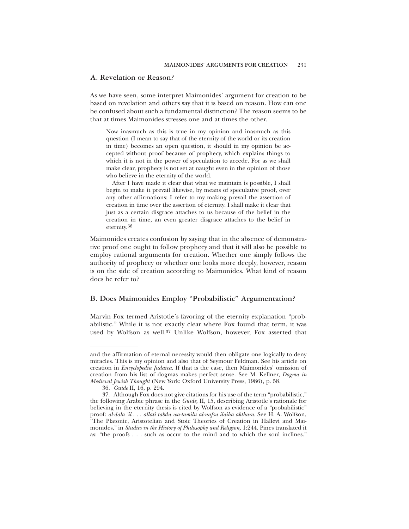## **A. Revelation or Reason?**

As we have seen, some interpret Maimonides' argument for creation to be based on revelation and others say that it is based on reason. How can one be confused about such a fundamental distinction? The reason seems to be that at times Maimonides stresses one and at times the other.

Now inasmuch as this is true in my opinion and inasmuch as this question (I mean to say that of the eternity of the world or its creation in time) becomes an open question, it should in my opinion be accepted without proof because of prophecy, which explains things to which it is not in the power of speculation to accede. For as we shall make clear, prophecy is not set at naught even in the opinion of those who believe in the eternity of the world.

After I have made it clear that what we maintain is possible, I shall begin to make it prevail likewise, by means of speculative proof, over any other affirmations; I refer to my making prevail the assertion of creation in time over the assertion of eternity. I shall make it clear that just as a certain disgrace attaches to us because of the belief in the creation in time, an even greater disgrace attaches to the belief in eternity.36

Maimonides creates confusion by saying that in the absence of demonstrative proof one ought to follow prophecy and that it will also be possible to employ rational arguments for creation. Whether one simply follows the authority of prophecy or whether one looks more deeply, however, reason is on the side of creation according to Maimonides. What kind of reason does he refer to?

## **B. Does Maimonides Employ "Probabilistic" Argumentation?**

Marvin Fox termed Aristotle's favoring of the eternity explanation "probabilistic." While it is not exactly clear where Fox found that term, it was used by Wolfson as well.37 Unlike Wolfson, however, Fox asserted that

and the affirmation of eternal necessity would then obligate one logically to deny miracles. This is my opinion and also that of Seymour Feldman. See his article on creation in *Encyclopedia Judaica.* If that is the case, then Maimonides' omission of creation from his list of dogmas makes perfect sense. See M. Kellner, *Dogma in Medieval Jewish Thought* (New York: Oxford University Press, 1986), p. 58.

<sup>36.</sup> *Guide* II, 16, p. 294.

<sup>37.</sup> Although Fox does not give citations for his use of the term "probabilistic," the following Arabic phrase in the *Guide,* II, 15, describing Aristotle's rationale for believing in the eternity thesis is cited by Wolfson as evidence of a "probabilistic" proof: *al-dala 'il . . . allati tabdu wa-tamilu al-nafsu ilaiha akthara.* See H. A. Wolfson, "The Platonic, Aristotelian and Stoic Theories of Creation in Hallevi and Maimonides," in *Studies in the History of Philosophy and Religion,* 1:244. Pines translated it as: "the proofs . . . such as occur to the mind and to which the soul inclines."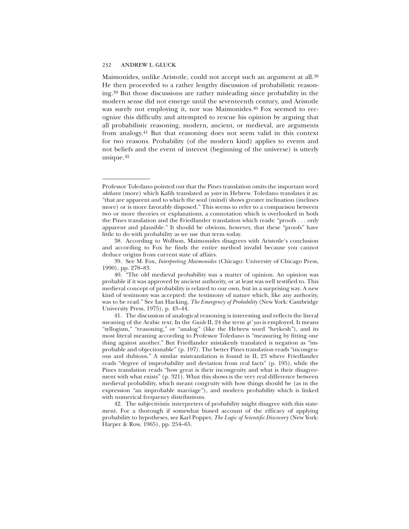Maimonides, unlike Aristotle, could not accept such an argument at all.<sup>38</sup> He then proceeded to a rather lengthy discussion of probabilistic reasoning.39 But those discussions are rather misleading since probability in the modern sense did not emerge until the seventeenth century, and Aristotle was surely not employing it, nor was Maimonides.40 Fox seemed to recognize this difficulty and attempted to rescue his opinion by arguing that all probabilistic reasoning, modern, ancient, or medieval, are arguments from analogy.41 But that reasoning does not seem valid in this context for two reasons. Probability (of the modern kind) applies to events and not beliefs and the event of interest (beginning of the universe) is utterly unique.42

Professor Toledano pointed out that the Pines translation omits the important word *akthara* (more) which Kafih translated as *yoter* in Hebrew. Toledano translates it as: "that are apparent and to which the soul (mind) shows greater inclination (inclines more) or is more favorably disposed." This seems to refer to a comparison between two or more theories or explanations, a connotation which is overlooked in both the Pines translation and the Friedlander translation which reads: "proofs . . . only apparent and plausible." It should be obvious, however, that these "proofs" have little to do with probability as we use that term today.

<sup>38.</sup> According to Wolfson, Maimonides disagrees with Aristotle's conclusion and according to Fox he finds the entire method invalid because you cannot deduce origins from current state of affairs.

<sup>39.</sup> See M. Fox, *Interpreting Maimonides* (Chicago: University of Chicago Press, 1990), pp. 278–83.

<sup>40. &</sup>quot;The old medieval probability was a matter of opinion. An opinion was probable if it was approved by ancient authority, or at least was well testified to. This medieval concept of probability is related to our own, but in a surprising way. A new kind of testimony was accepted: the testimony of nature which, like any authority, was to be read." See Ian Hacking, *The Emergency of Probability* (New York: Cambridge University Press, 1975), p. 43–44.

<sup>41.</sup> The discussion of analogical reasoning is interesting and reflects the literal meaning of the Arabic text. In the *Guide* II, 24 the term *qi' yas* is employed. It means "syllogism," "reasoning," or "analog" (like the Hebrew word "heykesh"), and its most literal meaning according to Professor Toledano is "measuring by fitting one thing against another." But Friedlander mistakenly translated is negation as "improbable and objectionable" (p. 197). The better Pines translation reads "incongruous and dubious." A similar mistranslation is found in II, 23 where Friedlander reads "degree of improbability and deviation from real facts" (p. 195), while the Pines translation reads "how great is their incongruity and what is their disagreement with what exists" (p. 321). What this shows is the very real difference between medieval probability, which meant congruity with how things should be (as in the expression "an improbable marriage"), and modern probability which is linked with numerical frequency distributions.

<sup>42.</sup> The subjectivistic interpreters of probability might disagree with this statement. For a thorough if somewhat biased account of the efficacy of applying probability to hypotheses, see Karl Popper, *The Logic of Scientific Discovery* (New York: Harper & Row, 1965), pp. 254–65.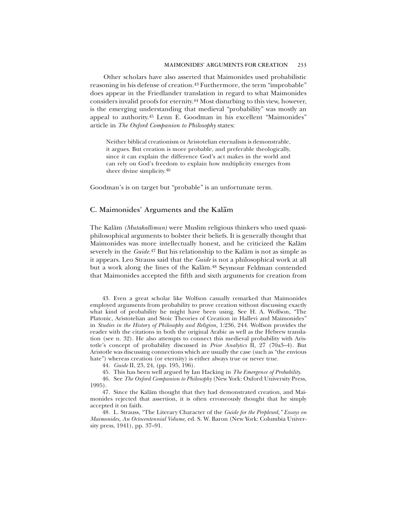Other scholars have also asserted that Maimonides used probabilistic reasoning in his defense of creation.<sup>43</sup> Furthermore, the term "improbable" does appear in the Friedlander translation in regard to what Maimonides considers invalid proofs for eternity.44 Most disturbing to this view, however, is the emerging understanding that medieval "probability" was mostly an appeal to authority.45 Lenn E. Goodman in his excellent "Maimonides" article in *The Oxford Companion to Philosophy* states:

Neither biblical creationism or Aristotelian eternalism is demonstrable, it argues. But creation is more probable, and preferable theologically, since it can explain the difference God's act makes in the world and can rely on God's freedom to explain how multiplicity emerges from sheer divine simplicity.46

Goodman's is on target but "probable" is an unfortunate term.

## **C. Maimonides' Arguments and the Kal˜am**

The Kalām *(Mutakallimun)* were Muslim religious thinkers who used quasiphilosophical arguments to bolster their beliefs. It is generally thought that Maimonides was more intellectually honest, and he criticized the Kalām severely in the *Guide*.<sup>47</sup> But his relationship to the Kalām is not as simple as it appears. Leo Strauss said that the *Guide* is not a philosophical work at all but a work along the lines of the Kalām.<sup>48</sup> Seymour Feldman contended that Maimonides accepted the fifth and sixth arguments for creation from

43. Even a great scholar like Wolfson casually remarked that Maimonides employed arguments from probability to prove creation without discussing exactly what kind of probability he might have been using. See H. A. Wolfson, "The Platonic, Aristotelian and Stoic Theories of Creation in Hallevi and Maimonides" in *Studies in the History of Philosophy and Religion,* 1:236, 244. Wolfson provides the reader with the citations in both the original Arabic as well as the Hebrew translation (see n. 32). He also attempts to connect this medieval probability with Aristotle's concept of probability discussed in *Prior Analytics* II, 27 (70a3–4). But Aristotle was discussing connections which are usually the case (such as "the envious hate") whereas creation (or eternity) is either always true or never true.

44. *Guide* II, 23, 24, (pp. 195, 196).

45. This has been well argued by Ian Hacking in *The Emergence of Probability.*

46. See *The Oxford Companion to Philosophy* (New York: Oxford University Press, 1995).

47. Since the Kalām thought that they had demonstrated creation, and Maimonides rejected that assertion, it is often erroneously thought that he simply accepted it on faith.

48. L. Strauss, "The Literary Character of the *Guide for the Perplexed," Essays on Maimonides, An Octocentennial Volume,* ed. S. W. Baron (New York: Columbia University press, 1941), pp. 37–91.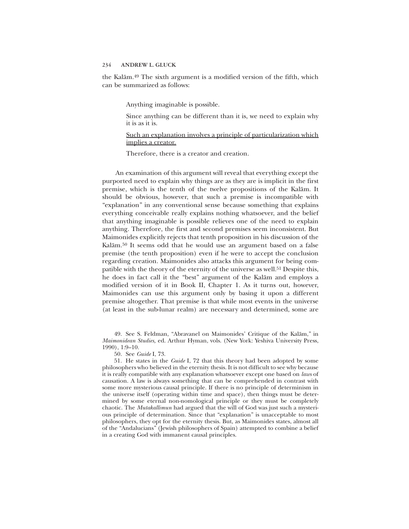the Kalām.<sup>49</sup> The sixth argument is a modified version of the fifth, which can be summarized as follows:

Anything imaginable is possible.

Since anything can be different than it is, we need to explain why it is as it is.

Such an explanation involves a principle of particularization which implies a creator.

Therefore, there is a creator and creation.

An examination of this argument will reveal that everything except the purported need to explain why things are as they are is implicit in the first premise, which is the tenth of the twelve propositions of the Kal˜am. It should be obvious, however, that such a premise is incompatible with "explanation" in any conventional sense because something that explains everything conceivable really explains nothing whatsoever, and the belief that anything imaginable is possible relieves one of the need to explain anything. Therefore, the first and second premises seem inconsistent. But Maimonides explicitly rejects that tenth proposition in his discussion of the Kal $\bar{a}$ m.<sup>50</sup> It seems odd that he would use an argument based on a false premise (the tenth proposition) even if he were to accept the conclusion regarding creation. Maimonides also attacks this argument for being compatible with the theory of the eternity of the universe as well.51 Despite this, he does in fact call it the "best" argument of the Kalām and employs a modified version of it in Book II, Chapter 1. As it turns out, however, Maimonides can use this argument only by basing it upon a different premise altogether. That premise is that while most events in the universe (at least in the sub-lunar realm) are necessary and determined, some are

49. See S. Feldman, "Abravanel on Maimonides' Critique of the Kalām," in *Maimonidean Studies,* ed. Arthur Hyman, vols. (New York: Yeshiva University Press, 1990), 1:9–10.

50. See *Guide* I, 73.

51. He states in the *Guide* I, 72 that this theory had been adopted by some philosophers who believed in the eternity thesis. It is not difficult to see why because it is really compatible with any explanation whatsoever except one based on *laws* of causation. A law is always something that can be comprehended in contrast with some more mysterious causal principle. If there is no principle of determinism in the universe itself (operating within time and space), then things must be determined by some eternal non-nomological principle or they must be completely chaotic. The *Mutakallimun* had argued that the will of God was just such a mysterious principle of determination. Since that "explanation" is unacceptable to most philosophers, they opt for the eternity thesis. But, as Maimonides states, almost all of the "Andalucians" (Jewish philosophers of Spain) attempted to combine a belief in a creating God with immanent causal principles.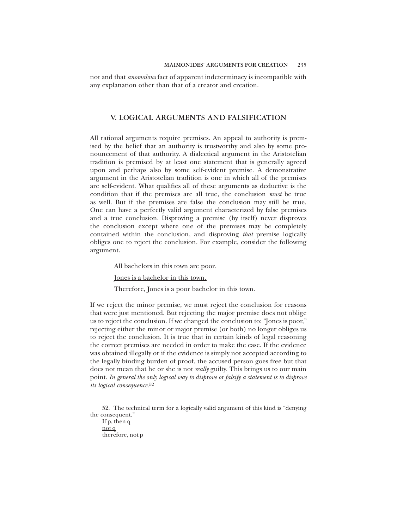not and that *anomalous* fact of apparent indeterminacy is incompatible with any explanation other than that of a creator and creation.

# **V. LOGICAL ARGUMENTS AND FALSIFICATION**

All rational arguments require premises. An appeal to authority is premised by the belief that an authority is trustworthy and also by some pronouncement of that authority. A dialectical argument in the Aristotelian tradition is premised by at least one statement that is generally agreed upon and perhaps also by some self-evident premise. A demonstrative argument in the Aristotelian tradition is one in which all of the premises are self-evident. What qualifies all of these arguments as deductive is the condition that if the premises are all true, the conclusion *must* be true as well. But if the premises are false the conclusion may still be true. One can have a perfectly valid argument characterized by false premises and a true conclusion. Disproving a premise (by itself) never disproves the conclusion except where one of the premises may be completely contained within the conclusion, and disproving *that* premise logically obliges one to reject the conclusion. For example, consider the following argument.

All bachelors in this town are poor.

Jones is a bachelor in this town.

Therefore, Jones is a poor bachelor in this town.

If we reject the minor premise, we must reject the conclusion for reasons that were just mentioned. But rejecting the major premise does not oblige us to reject the conclusion. If we changed the conclusion to: "Jones is poor," rejecting either the minor or major premise (or both) no longer obliges us to reject the conclusion. It is true that in certain kinds of legal reasoning the correct premises are needed in order to make the case. If the evidence was obtained illegally or if the evidence is simply not accepted according to the legally binding burden of proof, the accused person goes free but that does not mean that he or she is not *really* guilty. This brings us to our main point. *In general the only logical way to disprove or falsify a statement is to disprove its logical consequence.*<sup>52</sup>

52. The technical term for a logically valid argument of this kind is "denying the consequent." If p, then q not q therefore, not p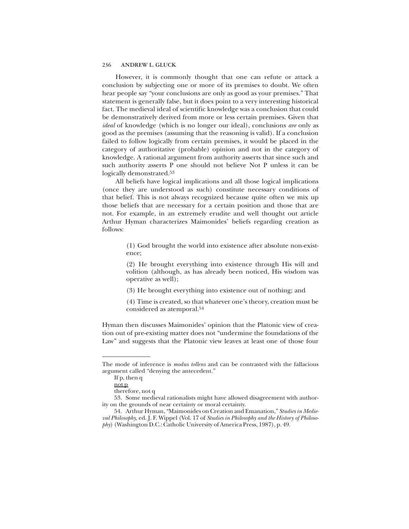However, it is commonly thought that one can refute or attack a conclusion by subjecting one or more of its premises to doubt. We often hear people say "your conclusions are only as good as your premises." That statement is generally false, but it does point to a very interesting historical fact. The medieval ideal of scientific knowledge was a conclusion that could be demonstratively derived from more or less certain premises. Given that *ideal* of knowledge (which is no longer our ideal), conclusions *are* only as good as the premises (assuming that the reasoning is valid). If a conclusion failed to follow logically from certain premises, it would be placed in the category of authoritative (probable) opinion and not in the category of knowledge. A rational argument from authority asserts that since such and such authority asserts P one should not believe Not P unless it can be logically demonstrated.53

All beliefs have logical implications and all those logical implications (once they are understood as such) constitute necessary conditions of that belief. This is not always recognized because quite often we mix up those beliefs that are necessary for a certain position and those that are not. For example, in an extremely erudite and well thought out article Arthur Hyman characterizes Maimonides' beliefs regarding creation as follows:

> (1) God brought the world into existence after absolute non-existence;

> (2) He brought everything into existence through His will and volition (although, as has already been noticed, His wisdom was operative as well);

(3) He brought everything into existence out of nothing; and

(4) Time is created, so that whatever one's theory, creation must be considered as atemporal.54

Hyman then discusses Maimonides' opinion that the Platonic view of creation out of pre-existing matter does not "undermine the foundations of the Law" and suggests that the Platonic view leaves at least one of those four

The mode of inference is *modus tollens* and can be contrasted with the fallacious argument called "denying the antecedent."

If p, then q

not p

therefore, not q

<sup>53.</sup> Some medieval rationalists might have allowed disagreement with authority on the grounds of near certainty or moral certainty.

<sup>54.</sup> Arthur Hyman, "Maimonides on Creation and Emanation," *Studies in Medieval Philosophy,* ed. J. F. Wippel (Vol. 17 of *Studies in Philosophy and the History of Philosophy*) (Washington D.C.: Catholic University of America Press, 1987), p. 49.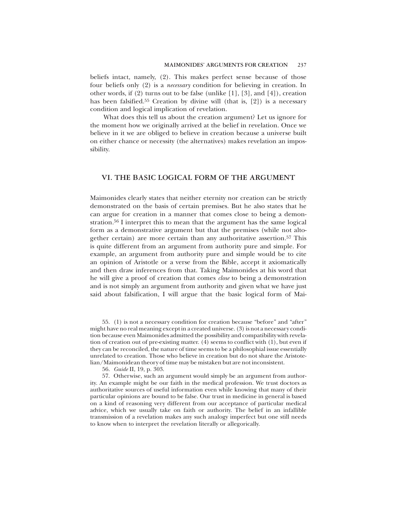beliefs intact, namely, (2). This makes perfect sense because of those four beliefs only (2) is a *necessary* condition for believing in creation. In other words, if  $(2)$  turns out to be false (unlike [1], [3], and [4]), creation has been falsified.<sup>55</sup> Creation by divine will (that is, [2]) is a necessary condition and logical implication of revelation.

What does this tell us about the creation argument? Let us ignore for the moment how we originally arrived at the belief in revelation. Once we believe in it we are obliged to believe in creation because a universe built on either chance or necessity (the alternatives) makes revelation an impossibility.

# **VI. THE BASIC LOGICAL FORM OF THE ARGUMENT**

Maimonides clearly states that neither eternity nor creation can be strictly demonstrated on the basis of certain premises. But he also states that he can argue for creation in a manner that comes close to being a demonstration.56 I interpret this to mean that the argument has the same logical form as a demonstrative argument but that the premises (while not altogether certain) are more certain than any authoritative assertion.57 This is quite different from an argument from authority pure and simple. For example, an argument from authority pure and simple would be to cite an opinion of Aristotle or a verse from the Bible, accept it axiomatically and then draw inferences from that. Taking Maimonides at his word that he will give a proof of creation that comes *close* to being a demonstration and is not simply an argument from authority and given what we have just said about falsification, I will argue that the basic logical form of Mai-

55. (1) is not a necessary condition for creation because "before" and "after" might have no real meaning except in a created universe. (3) is not a necessary condition because even Maimonides admitted the possibility and compatibility with revelation of creation out of pre-existing matter. (4) seems to conflict with (1), but even if they can be reconciled, the nature of time seems to be a philosophial issue essentially unrelated to creation. Those who believe in creation but do not share the Aristotelian/Maimonidean theory of time may be mistaken but are not inconsistent.

56. *Guide* II, 19, p. 303.

57. Otherwise, such an argument would simply be an argument from authority. An example might be our faith in the medical profession. We trust doctors as authoritative sources of useful information even while knowing that many of their particular opinions are bound to be false. Our trust in medicine in general is based on a kind of reasoning very different from our acceptance of particular medical advice, which we usually take on faith or authority. The belief in an infallible transmission of a revelation makes any such analogy imperfect but one still needs to know when to interpret the revelation literally or allegorically.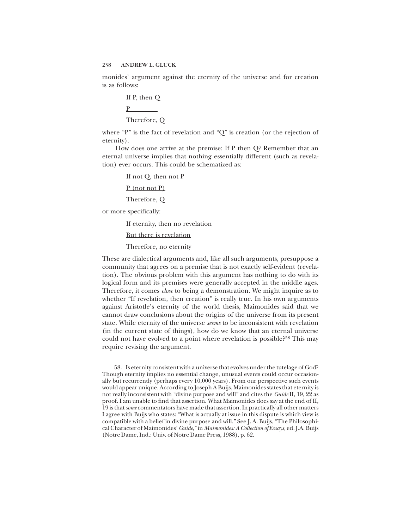monides' argument against the eternity of the universe and for creation is as follows:

```
If P, then Q
P<sub>2</sub>
Therefore, Q
```
where "P" is the fact of revelation and "Q" is creation (or the rejection of eternity).

How does one arrive at the premise: If P then Q? Remember that an eternal universe implies that nothing essentially different (such as revelation) ever occurs. This could be schematized as:

> If not Q, then not P P (not not P) Therefore, Q

or more specifically:

If eternity, then no revelation

But there is revelation

Therefore, no eternity

These are dialectical arguments and, like all such arguments, presuppose a community that agrees on a premise that is not exactly self-evident (revelation). The obvious problem with this argument has nothing to do with its logical form and its premises were generally accepted in the middle ages. Therefore, it comes *close* to being a demonstration. We might inquire as to whether "If revelation, then creation" is really true. In his own arguments against Aristotle's eternity of the world thesis, Maimonides said that we cannot draw conclusions about the origins of the universe from its present state. While eternity of the universe *seems* to be inconsistent with revelation (in the current state of things), how do we know that an eternal universe could not have evolved to a point where revelation is possible?58 This may require revising the argument.

58. Is eternity consistent with a universe that evolves under the tutelage of God? Though eternity implies no essential change, unusual events could occur occasionally but recurrently (perhaps every 10,000 years). From our perspective such events would appear unique. According to Joseph A Buijs, Maimonides states that eternity is not really inconsistent with "divine purpose and will" and cites the *Guide* II, 19, 22 as proof. I am unable to find that assertion. What Maimonides does say at the end of II, 19 is that*some* commentators have made that assertion. In practically all other matters I agree with Buijs who states: "What is actually at issue in this dispute is which view is compatible with a belief in divine purpose and will." See J. A. Buijs, "The Philosophical Character of Maimonides'*Guide*," in *Maimonides: A Collection of Essays,* ed. J.A. Buijs (Notre Dame, Ind.: Univ. of Notre Dame Press, 1988), p. 62.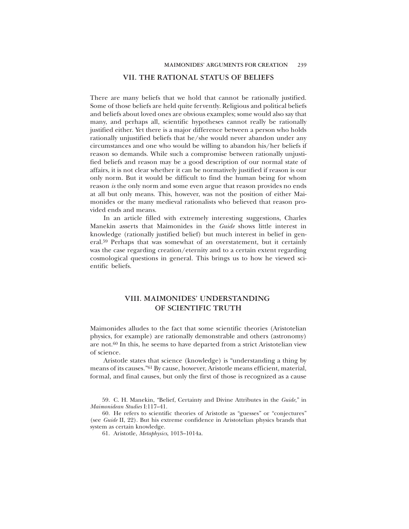## **VII. THE RATIONAL STATUS OF BELIEFS**

There are many beliefs that we hold that cannot be rationally justified. Some of those beliefs are held quite fervently. Religious and political beliefs and beliefs about loved ones are obvious examples; some would also say that many, and perhaps all, scientific hypotheses cannot really be rationally justified either. Yet there is a major difference between a person who holds rationally unjustified beliefs that he/she would never abandon under any circumstances and one who would be willing to abandon his/her beliefs if reason so demands. While such a compromise between rationally unjustified beliefs and reason may be a good description of our normal state of affairs, it is not clear whether it can be normatively justified if reason is our only norm. But it would be difficult to find the human being for whom reason *is* the only norm and some even argue that reason provides no ends at all but only means. This, however, was not the position of either Maimonides or the many medieval rationalists who believed that reason provided ends and means.

In an article filled with extremely interesting suggestions, Charles Manekin asserts that Maimonides in the *Guide* shows little interest in knowledge (rationally justified belief) but much interest in belief in general.59 Perhaps that was somewhat of an overstatement, but it certainly was the case regarding creation/eternity and to a certain extent regarding cosmological questions in general. This brings us to how he viewed scientific beliefs.

# **VIII. MAIMONIDES' UNDERSTANDING OF SCIENTIFIC TRUTH**

Maimonides alludes to the fact that some scientific theories (Aristotelian physics, for example) are rationally demonstrable and others (astronomy) are not.60 In this, he seems to have departed from a strict Aristotelian view of science.

Aristotle states that science (knowledge) is "understanding a thing by means of its causes."61 By cause, however, Aristotle means efficient, material, formal, and final causes, but only the first of those is recognized as a cause

59. C. H. Manekin, "Belief, Certainty and Divine Attributes in the *Guide*," in *Maimonidean Studies* I:117–41.

60. He refers to scientific theories of Aristotle as "guesses" or "conjectures" (see *Guide* II, 22). But his extreme confidence in Aristotelian physics brands that system as certain knowledge.

61. Aristotle, *Metaphysics*, 1013–1014a.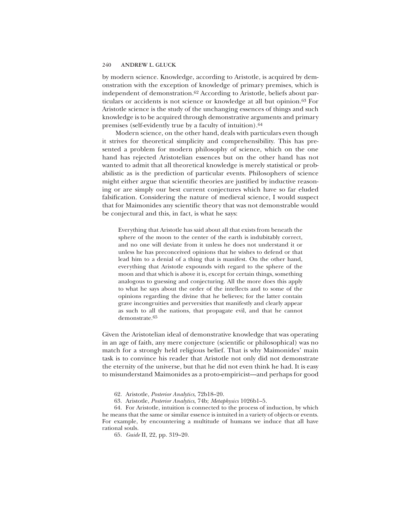by modern science. Knowledge, according to Aristotle, is acquired by demonstration with the exception of knowledge of primary premises, which is independent of demonstration.62 According to Aristotle, beliefs about particulars or accidents is not science or knowledge at all but opinion.63 For Aristotle science is the study of the unchanging essences of things and such knowledge is to be acquired through demonstrative arguments and primary premises (self-evidently true by a faculty of intuition).64

Modern science, on the other hand, deals with particulars even though it strives for theoretical simplicity and comprehensibility. This has presented a problem for modern philosophy of science, which on the one hand has rejected Aristotelian essences but on the other hand has not wanted to admit that all theoretical knowledge is merely statistical or probabilistic as is the prediction of particular events. Philosophers of science might either argue that scientific theories are justified by inductive reasoning or are simply our best current conjectures which have so far eluded falsification. Considering the nature of medieval science, I would suspect that for Maimonides any scientific theory that was not demonstrable would be conjectural and this, in fact, is what he says:

Everything that Aristotle has said about all that exists from beneath the sphere of the moon to the center of the earth is indubitably correct, and no one will deviate from it unless he does not understand it or unless he has preconceived opinions that he wishes to defend or that lead him to a denial of a thing that is manifest. On the other hand, everything that Aristotle expounds with regard to the sphere of the moon and that which is above it is, except for certain things, something analogous to guessing and conjecturing. All the more does this apply to what he says about the order of the intellects and to some of the opinions regarding the divine that he believes; for the latter contain grave incongruities and perversities that manifestly and clearly appear as such to all the nations, that propagate evil, and that he cannot demonstrate.65

Given the Aristotelian ideal of demonstrative knowledge that was operating in an age of faith, any mere conjecture (scientific or philosophical) was no match for a strongly held religious belief. That is why Maimonides' main task is to convince his reader that Aristotle not only did not demonstrate the eternity of the universe, but that he did not even think he had. It is easy to misunderstand Maimonides as a proto-empiricist—and perhaps for good

62. Aristotle, *Posterior Analytics*, 72b18–20.

63. Aristotle, *Posterior Analytics*, 74b; *Metaphysics* 1026b1–5.

64. For Aristotle, intuition is connected to the process of induction, by which he means that the same or similar essence is intuited in a variety of objects or events. For example, by encountering a multitude of humans we induce that all have rational souls.

65. *Guide* II, 22, pp. 319–20.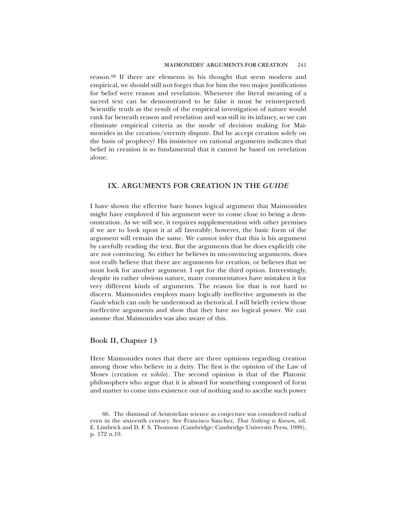reason.66 If there are elements in his thought that seem modern and empirical, we should still not forget that for him the two major justifications for belief were reason and revelation. Whenever the literal meaning of a sacred text can be demonstrated to be false it must be reinterpreted. Scientific truth as the result of the empirical investigation of nature would rank far beneath reason and revelation and was still in its infancy, so we can eliminate empirical criteria as the mode of decision making for Maimonides in the creation/eternity dispute. Did he accept creation solely on the basis of prophecy? His insistence on rational arguments indicates that belief in creation is so fundamental that it cannot be based on revelation alone.

### **IX. ARGUMENTS FOR CREATION IN THE** *GUIDE*

I have shown the effective bare bones logical argument that Maimonides might have employed if his argument were to come close to being a demonstration. As we will see, it requires supplementation with other premises if we are to look upon it at all favorably; however, the basic form of the argument will remain the same. We cannot infer that this is his argument by carefully reading the text. But the arguments that he does explicitly cite are not convincing. So either he believes in unconvincing arguments, does not really believe that there are arguments for creation, or believes that we must look for another argument. I opt for the third option. Interestingly, despite its rather obvious nature, many commentators have mistaken it for very different kinds of arguments. The reason for that is not hard to discern. Maimonides employs many logically ineffective arguments in the *Guide* which can only be understood as rhetorical. I will briefly review those ineffective arguments and show that they have no logical power. We can assume that Maimonides was also aware of this.

#### **Book II, Chapter 13**

Here Maimonides notes that there are three opinions regarding creation among those who believe in a deity. The first is the opinion of the Law of Moses (creation *ex nihilo*). The second opinion is that of the Platonic philosophers who argue that it is absurd for something composed of form and matter to come into existence out of nothing and to ascribe such power

<sup>66.</sup> The dismissal of Aristotelian science as conjecture was considered radical even in the sixteenth century. See Francisco Sanchez, *That Nothing is Known,* ed. E. Limbrick and D. F. S. Thomson (Cambridge: Cambridge University Press, 1988), p. 172 n.19.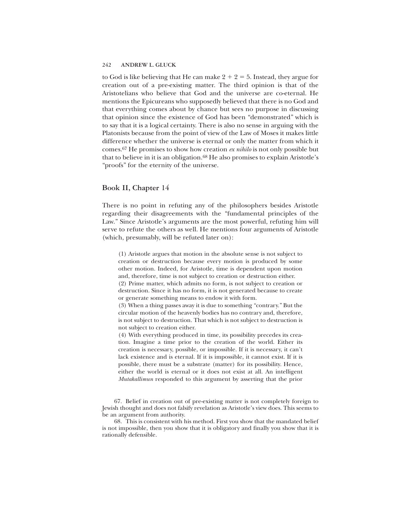to God is like believing that He can make  $2 + 2 = 5$ . Instead, they argue for creation out of a pre-existing matter. The third opinion is that of the Aristotelians who believe that God and the universe are co-eternal. He mentions the Epicureans who supposedly believed that there is no God and that everything comes about by chance but sees no purpose in discussing that opinion since the existence of God has been "demonstrated" which is to say that it is a logical certainty. There is also no sense in arguing with the Platonists because from the point of view of the Law of Moses it makes little difference whether the universe is eternal or only the matter from which it comes.67 He promises to show how creation *ex nihilo* is not only possible but that to believe in it is an obligation.68 He also promises to explain Aristotle's "proofs" for the eternity of the universe.

#### **Book II, Chapter 14**

There is no point in refuting any of the philosophers besides Aristotle regarding their disagreements with the "fundamental principles of the Law." Since Aristotle's arguments are the most powerful, refuting him will serve to refute the others as well. He mentions four arguments of Aristotle (which, presumably, will be refuted later on):

(1) Aristotle argues that motion in the absolute sense is not subject to creation or destruction because every motion is produced by some other motion. Indeed, for Aristotle, time is dependent upon motion and, therefore, time is not subject to creation or destruction either. (2) Prime matter, which admits no form, is not subject to creation or destruction. Since it has no form, it is not generated because to create or generate something means to endow it with form.

(3) When a thing passes away it is due to something "contrary." But the circular motion of the heavenly bodies has no contrary and, therefore, is not subject to destruction. That which is not subject to destruction is not subject to creation either.

(4) With everything produced in time, its possibility precedes its creation. Imagine a time prior to the creation of the world. Either its creation is necessary, possible, or impossible. If it is necessary, it can't lack existence and is eternal. If it is impossible, it cannot exist. If it is possible, there must be a substrate (matter) for its possibility. Hence, either the world is eternal or it does not exist at all. An intelligent *Mutakallimun* responded to this argument by asserting that the prior

67. Belief in creation out of pre-existing matter is not completely foreign to Jewish thought and does not falsify revelation as Aristotle's view does. This seems to be an argument from authority.

68. This is consistent with his method. First you show that the mandated belief is not impossible, then you show that it is obligatory and finally you show that it is rationally defensible.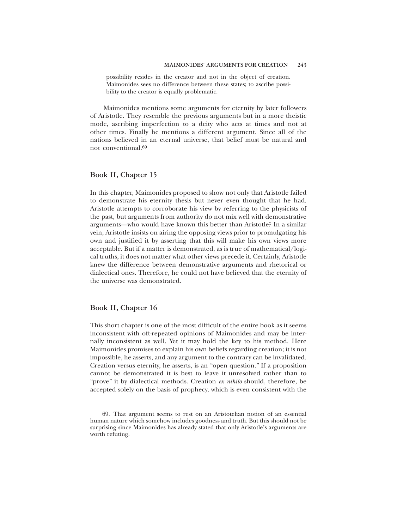possibility resides in the creator and not in the object of creation. Maimonides sees no difference between these states; to ascribe possibility to the creator is equally problematic.

Maimonides mentions some arguments for eternity by later followers of Aristotle. They resemble the previous arguments but in a more theistic mode, ascribing imperfection to a deity who acts at times and not at other times. Finally he mentions a different argument. Since all of the nations believed in an eternal universe, that belief must be natural and not conventional.69

#### **Book II, Chapter 15**

In this chapter, Maimonides proposed to show not only that Aristotle failed to demonstrate his eternity thesis but never even thought that he had. Aristotle attempts to corroborate his view by referring to the physicists of the past, but arguments from authority do not mix well with demonstrative arguments—who would have known this better than Aristotle? In a similar vein, Aristotle insists on airing the opposing views prior to promulgating his own and justified it by asserting that this will make his own views more acceptable. But if a matter is demonstrated, as is true of mathematical/logical truths, it does not matter what other views precede it. Certainly, Aristotle knew the difference between demonstrative arguments and rhetorical or dialectical ones. Therefore, he could not have believed that the eternity of the universe was demonstrated.

### **Book II, Chapter 16**

This short chapter is one of the most difficult of the entire book as it seems inconsistent with oft-repeated opinions of Maimonides and may be internally inconsistent as well. Yet it may hold the key to his method. Here Maimonides promises to explain his own beliefs regarding creation; it is not impossible, he asserts, and any argument to the contrary can be invalidated. Creation versus eternity, he asserts, is an "open question." If a proposition cannot be demonstrated it is best to leave it unresolved rather than to "prove" it by dialectical methods. Creation *ex nihilo* should, therefore, be accepted solely on the basis of prophecy, which is even consistent with the

69. That argument seems to rest on an Aristotelian notion of an essential human nature which somehow includes goodness and truth. But this should not be surprising since Maimonides has already stated that only Aristotle's arguments are worth refuting.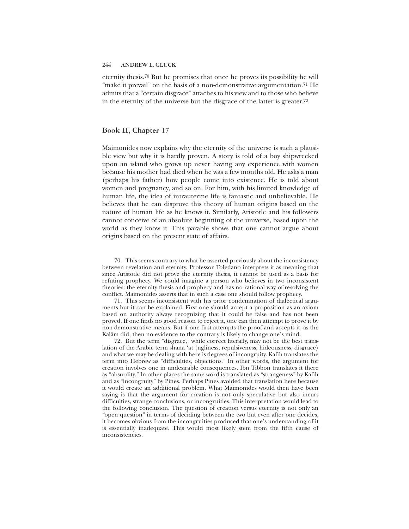eternity thesis.70 But he promises that once he proves its possibility he will "make it prevail" on the basis of a non-demonstrative argumentation.71 He admits that a "certain disgrace" attaches to his view and to those who believe in the eternity of the universe but the disgrace of the latter is greater.72

## **Book II, Chapter 17**

Maimonides now explains why the eternity of the universe is such a plausible view but why it is hardly proven. A story is told of a boy shipwrecked upon an island who grows up never having any experience with women because his mother had died when he was a few months old. He asks a man (perhaps his father) how people come into existence. He is told about women and pregnancy, and so on. For him, with his limited knowledge of human life, the idea of intrauterine life is fantastic and unbelievable. He believes that he can disprove this theory of human origins based on the nature of human life as he knows it. Similarly, Aristotle and his followers cannot conceive of an absolute beginning of the universe, based upon the world as they know it. This parable shows that one cannot argue about origins based on the present state of affairs.

70. This seems contrary to what he asserted previously about the inconsistency between revelation and eternity. Professor Toledano interprets it as meaning that since Aristotle did not prove the eternity thesis, it cannot be used as a basis for refuting prophecy. We could imagine a person who believes in two inconsistent theories: the eternity thesis and prophecy and has no rational way of resolving the conflict. Maimonides asserts that in such a case one should follow prophecy.

71. This seems inconsistent with his prior condemnation of dialectical arguments but it can be explained. First one should accept a proposition as an axiom based on authority always recognizing that it could be false and has not been proved. If one finds no good reason to reject it, one can then attempt to prove it by non-demonstrative means. But if one first attempts the proof and accepts it, as the Kalām did, then no evidence to the contrary is likely to change one's mind.

72. But the term "disgrace," while correct literally, may not be the best translation of the Arabic term shana 'at (ugliness, repulsiveness, hideousness, disgrace) and what we may be dealing with here is degrees of incongruity. Kafih translates the term into Hebrew as "difficulties, objections." In other words, the argument for creation involves one in undesirable consequences. Ibn Tibbon translates it there as "absurdity." In other places the same word is translated as "strangeness" by Kafih and as "incongruity" by Pines. Perhaps Pines avoided that translation here because it would create an additional problem. What Maimonides would then have been saying is that the argument for creation is not only speculative but also incurs difficulties, strange conclusions, or incongruities. This interpretation would lead to the following conclusion. The question of creation versus eternity is not only an "open question" in terms of deciding between the two but even after one decides, it becomes obvious from the incongruities produced that one's understanding of it is essentially inadequate. This would most likely stem from the fifth cause of inconsistencies.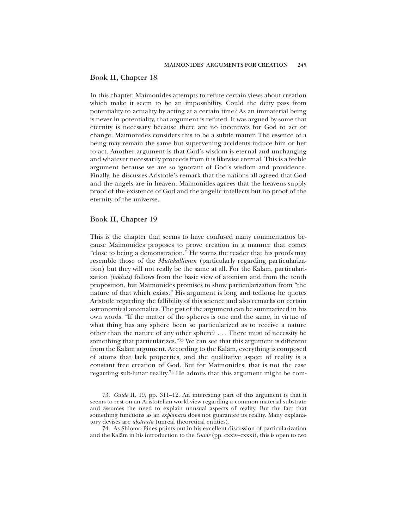#### **Book II, Chapter 18**

In this chapter, Maimonides attempts to refute certain views about creation which make it seem to be an impossibility. Could the deity pass from potentiality to actuality by acting at a certain time? As an immaterial being is never in potentiality, that argument is refuted. It was argued by some that eternity is necessary because there are no incentives for God to act or change. Maimonides considers this to be a subtle matter. The essence of a being may remain the same but supervening accidents induce him or her to act. Another argument is that God's wisdom is eternal and unchanging and whatever necessarily proceeds from it is likewise eternal. This is a feeble argument because we are so ignorant of God's wisdom and providence. Finally, he discusses Aristotle's remark that the nations all agreed that God and the angels are in heaven. Maimonides agrees that the heavens supply proof of the existence of God and the angelic intellects but no proof of the eternity of the universe.

## **Book II, Chapter 19**

This is the chapter that seems to have confused many commentators because Maimonides proposes to prove creation in a manner that comes "close to being a demonstration." He warns the reader that his proofs may resemble those of the *Mutakallimun* (particularly regarding particularization) but they will not really be the same at all. For the Kalām, particularization *(takhsis)* follows from the basic view of atomism and from the tenth proposition, but Maimonides promises to show particularization from "the nature of that which exists." His argument is long and tedious; he quotes Aristotle regarding the fallibility of this science and also remarks on certain astronomical anomalies. The gist of the argument can be summarized in his own words. "If the matter of the spheres is one and the same, in virtue of what thing has any sphere been so particularized as to receive a nature other than the nature of any other sphere? . . . There must of necessity be something that particularizes."73 We can see that this argument is different from the Kalām argument. According to the Kalām, everything is composed of atoms that lack properties, and the qualitative aspect of reality is a constant free creation of God. But for Maimonides, that is not the case regarding sub-lunar reality.74 He admits that this argument might be com-

73. *Guide* II, 19, pp. 311–12. An interesting part of this argument is that it seems to rest on an Aristotelian world-view regarding a common material substrate and assumes the need to explain unusual aspects of reality. But the fact that something functions as an *explanans* does not guarantee its reality. Many explanatory devises are *abstracta* (unreal theoretical entities).

74. As Shlomo Pines points out in his excellent discussion of particularization and the Kal˜am in his introduction to the *Guide* (pp. cxxiv–cxxxi), this is open to two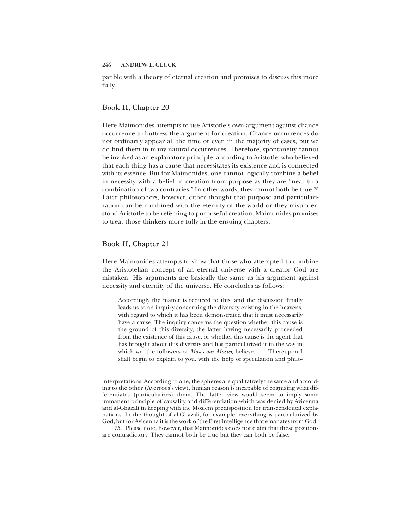patible with a theory of eternal creation and promises to discuss this more fully.

# **Book II, Chapter 20**

Here Maimonides attempts to use Aristotle's own argument against chance occurrence to buttress the argument for creation. Chance occurrences do not ordinarily appear all the time or even in the majority of cases, but we do find them in many natural occurrences. Therefore, spontaneity cannot be invoked as an explanatory principle, according to Aristotle, who believed that each thing has a cause that necessitates its existence and is connected with its essence. But for Maimonides, one cannot logically combine a belief in necessity with a belief in creation from purpose as they are "near to a combination of two contraries." In other words, they cannot both be true.75 Later philosophers, however, either thought that purpose and particularization can be combined with the eternity of the world or they misunderstood Aristotle to be referring to purposeful creation. Maimonides promises to treat those thinkers more fully in the ensuing chapters.

# **Book II, Chapter 21**

Here Maimonides attempts to show that those who attempted to combine the Aristotelian concept of an eternal universe with a creator God are mistaken. His arguments are basically the same as his argument against necessity and eternity of the universe. He concludes as follows:

Accordingly the matter is reduced to this, and the discussion finally leads us to an inquiry concerning the diversity existing in the heavens, with regard to which it has been demonstrated that it must necessarily have a cause. The inquiry concerns the question whether this cause is the ground of this diversity, the latter having necessarily proceeded from the existence of this cause, or whether this cause is the agent that has brought about this diversity and has particularized it in the way in which we, the followers of *Moses our Master,* believe. . . . Thereupon I shall begin to explain to you, with the help of speculation and philo-

interpretations. According to one, the spheres are qualitatively the same and according to the other (Averroes's view), human reason is incapable of cognizing what differentiates (particularizes) them. The latter view would seem to imply some immanent principle of causality and differentiation which was denied by Avicenna and al-Ghazali in keeping with the Moslem predisposition for transcendental explanations. In the thought of al-Ghazali, for example, everything is particularized by God, but for Avicenna it is the work of the First Intelligence that emanates from God.

<sup>75.</sup> Please note, however, that Maimonides does not claim that these positions are contradictory. They cannot both be true but they can both be false.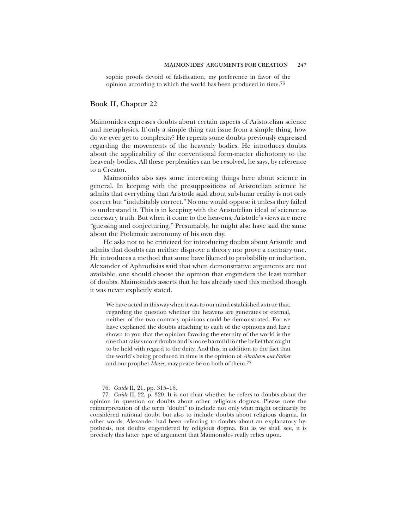sophic proofs devoid of falsification, my preference in favor of the opinion according to which the world has been produced in time.76

## **Book II, Chapter 22**

Maimonides expresses doubts about certain aspects of Aristotelian science and metaphysics. If only a simple thing can issue from a simple thing, how do we ever get to complexity? He repeats some doubts previously expressed regarding the movements of the heavenly bodies. He introduces doubts about the applicability of the conventional form-matter dichotomy to the heavenly bodies. All these perplexities can be resolved, he says, by reference to a Creator.

Maimonides also says some interesting things here about science in general. In keeping with the presuppositions of Aristotelian science he admits that everything that Aristotle said about sub-lunar reality is not only correct but "indubitably correct." No one would oppose it unless they failed to understand it. This is in keeping with the Aristotelian ideal of science as necessary truth. But when it come to the heavens, Aristotle's views are mere "guessing and conjecturing." Presumably, he might also have said the same about the Ptolemaic astronomy of his own day.

He asks not to be criticized for introducing doubts about Aristotle and admits that doubts can neither disprove a theory nor prove a contrary one. He introduces a method that some have likened to probability or induction. Alexander of Aphrodisias said that when demonstrative arguments are not available, one should choose the opinion that engenders the least number of doubts. Maimonides asserts that he has already used this method though it was never explicitly stated.

We have acted in this way when it was to our mind established as true that, regarding the question whether the heavens are generates or eternal, neither of the two contrary opinions could be demonstrated. For we have explained the doubts attaching to each of the opinions and have shown to you that the opinion favoring the eternity of the world is the one that raises more doubts and is more harmful for the belief that ought to be held with regard to the deity. And this, in addition to the fact that the world's being produced in time is the opinion of *Abraham our Father* and our prophet *Moses,* may peace be on both of them.77

76. *Guide* II, 21, pp. 315–16.

77. *Guide* II, 22, p. 320. It is not clear whether he refers to doubts about the opinion in question or doubts about other religious dogmas. Please note the reinterpretation of the term "doubt" to include not only what might ordinarily be considered rational doubt but also to include doubts about religious dogma. In other words, Alexander had been referring to doubts about an explanatory hypothesis, not doubts engendered by religious dogma. But as we shall see, it is precisely this latter type of argument that Maimonides really relies upon.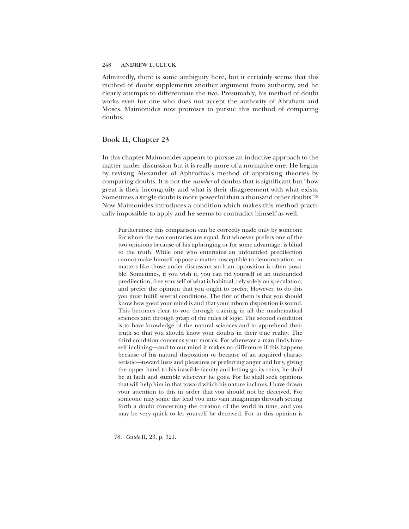Admittedly, there is some ambiguity here, but it certainly seems that this method of doubt supplements another argument from authority, and he clearly attempts to differentiate the two. Presumably, his method of doubt works even for one who does not accept the authority of Abraham and Moses. Maimonides now promises to pursue this method of comparing doubts.

# **Book II, Chapter 23**

In this chapter Maimonides appears to pursue an inductive approach to the matter under discussion but it is really more of a normative one. He begins by revising Alexander of Aphrodias's method of appraising theories by comparing doubts. It is not the *number* of doubts that is significant but "how great is their incongruity and what is their disagreement with what exists. Sometimes a single doubt is more powerful than a thousand other doubts"78 Now Maimonides introduces a condition which makes this method practically impossible to apply and he seems to contradict himself as well:

Furthermore this comparison can be correctly made only by someone for whom the two contraries are equal. But whoever prefers one of the two opinions because of his upbringing or for some advantage, is blind to the truth. While one who entertains an unfounded predilection cannot make himself oppose a matter susceptible to demonstration, in matters like those under discussion such an opposition is often possible. Sometimes, if you wish it, you can rid yourself of an unfounded predilection, free yourself of what is habitual, rely solely on speculation, and prefer the opinion that you ought to prefer. However, to do this you must fulfill several conditions. The first of them is that you should know how good your mind is and that your inborn disposition is sound. This becomes clear to you through training in all the mathematical sciences and through grasp of the rules of logic. The second condition is to have knowledge of the natural sciences and to apprehend their truth so that you should know your doubts in their true reality. The third condition concerns your morals. For whenever a man finds himself inclining—and to our mind it makes no difference if this happens because of his natural disposition or because of an acquired characteristic—toward lusts and pleasures or preferring anger and fury, giving the upper hand to his irascible faculty and letting go its reins, he shall be at fault and stumble wherever he goes. For he shall seek opinions that will help him in that toward which his nature inclines. I have drawn your attention to this in order that you should not be deceived. For someone may some day lead you into vain imaginings through setting forth a doubt concerning the creation of the world in time, and you may be very quick to let yourself be deceived. For in this opinion is

78. *Guide* II, 23, p. 321.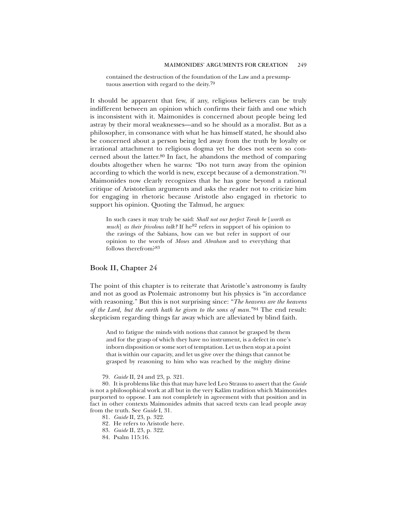#### **MAIMONIDES' ARGUMENTS FOR CREATION 249**

contained the destruction of the foundation of the Law and a presumptuous assertion with regard to the deity.79

It should be apparent that few, if any, religious believers can be truly indifferent between an opinion which confirms their faith and one which is inconsistent with it. Maimonides is concerned about people being led astray by their moral weaknesses—and so he should as a moralist. But as a philosopher, in consonance with what he has himself stated, he should also be concerned about a person being led away from the truth by loyalty or irrational attachment to religious dogma yet he does not seem so concerned about the latter.80 In fact, he abandons the method of comparing doubts altogether when he warns: "Do not turn away from the opinion according to which the world is new, except because of a demonstration."81 Maimonides now clearly recognizes that he has gone beyond a rational critique of Aristotelian arguments and asks the reader not to criticize him for engaging in rhetoric because Aristotle also engaged in rhetoric to support his opinion. Quoting the Talmud, he argues:

In such cases it may truly be said: *Shall not our perfect Torah be* [*worth as much*] *as their frivolous talk?* If he<sup>82</sup> refers in support of his opinion to the ravings of the Sabians, how can we but refer in support of our opinion to the words of *Moses* and *Abraham* and to everything that follows therefrom?83

## **Book II, Chapter 24**

The point of this chapter is to reiterate that Aristotle's astronomy is faulty and not as good as Ptolemaic astronomy but his physics is "in accordance with reasoning." But this is not surprising since: "*The heavens are the heavens of the Lord, but the earth hath he given to the sons of man.*"84 The end result: skepticism regarding things far away which are alleviated by blind faith.

And to fatigue the minds with notions that cannot be grasped by them and for the grasp of which they have no instrument, is a defect in one's inborn disposition or some sort of temptation. Let us then stop at a point that is within our capacity, and let us give over the things that cannot be grasped by reasoning to him who was reached by the mighty divine

79. *Guide* II, 24 and 23, p. 321.

80. It is problems like this that may have led Leo Strauss to assert that the *Guide* is not a philosophical work at all but in the very Kalām tradition which Maimonides purported to oppose. I am not completely in agreement with that position and in fact in other contexts Maimonides admits that sacred texts can lead people away from the truth. See *Guide* I, 31.

81. *Guide* II, 23, p. 322.

- 82. He refers to Aristotle here.
- 83. *Guide* II, 23, p. 322.
- 84. Psalm 115:16.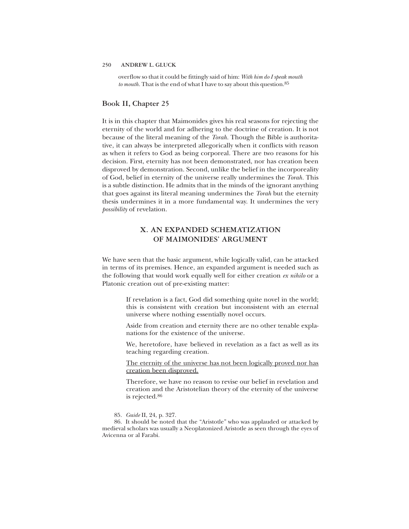overflow so that it could be fittingly said of him: *With him do I speak mouth to mouth.* That is the end of what I have to say about this question.85

## **Book II, Chapter 25**

It is in this chapter that Maimonides gives his real seasons for rejecting the eternity of the world and for adhering to the doctrine of creation. It is not because of the literal meaning of the *Torah.* Though the Bible is authoritative, it can always be interpreted allegorically when it conflicts with reason as when it refers to God as being corporeal. There are two reasons for his decision. First, eternity has not been demonstrated, nor has creation been disproved by demonstration. Second, unlike the belief in the incorporeality of God, belief in eternity of the universe really undermines the *Torah.* This is a subtle distinction. He admits that in the minds of the ignorant anything that goes against its literal meaning undermines the *Torah* but the eternity thesis undermines it in a more fundamental way. It undermines the very *possibility* of revelation.

# **X. AN EXPANDED SCHEMATIZATION OF MAIMONIDES' ARGUMENT**

We have seen that the basic argument, while logically valid, can be attacked in terms of its premises. Hence, an expanded argument is needed such as the following that would work equally well for either creation *ex nihilo* or a Platonic creation out of pre-existing matter:

> If revelation is a fact, God did something quite novel in the world; this is consistent with creation but inconsistent with an eternal universe where nothing essentially novel occurs.

> Aside from creation and eternity there are no other tenable explanations for the existence of the universe.

> We, heretofore, have believed in revelation as a fact as well as its teaching regarding creation.

> The eternity of the universe has not been logically proved nor has creation been disproved.

> Therefore, we have no reason to revise our belief in revelation and creation and the Aristotelian theory of the eternity of the universe is rejected.86

85. *Guide* II, 24, p. 327.

86. It should be noted that the "Aristotle" who was applauded or attacked by medieval scholars was usually a Neoplatonized Aristotle as seen through the eyes of Avicenna or al Farabi.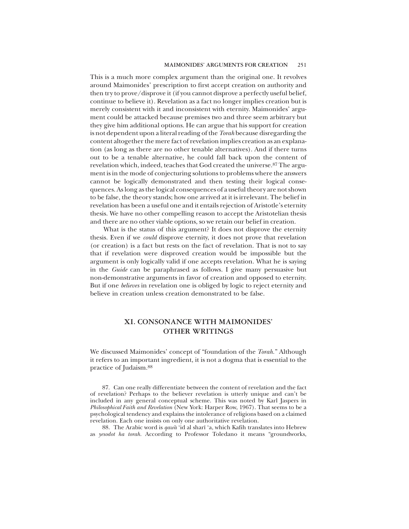This is a much more complex argument than the original one. It revolves around Maimonides' prescription to first accept creation on authority and then try to prove/disprove it (if you cannot disprove a perfectly useful belief, continue to believe it). Revelation as a fact no longer implies creation but is merely consistent with it and inconsistent with eternity. Maimonides' argument could be attacked because premises two and three seem arbitrary but they give him additional options. He can argue that his support for creation is not dependent upon a literal reading of the *Torah* because disregarding the content altogether the mere fact of revelation implies creation as an explanation (as long as there are no other tenable alternatives). And if there turns out to be a tenable alternative, he could fall back upon the content of revelation which, indeed, teaches that God created the universe.<sup>87</sup> The argument is in the mode of conjecturing solutions to problems where the answers cannot be logically demonstrated and then testing their logical consequences. As long as the logical consequences of a useful theory are not shown to be false, the theory stands; how one arrived at it is irrelevant. The belief in revelation has been a useful one and it entails rejection of Aristotle's eternity thesis. We have no other compelling reason to accept the Aristotelian thesis and there are no other viable options, so we retain our belief in creation.

What is the status of this argument? It does not disprove the eternity thesis. Even if we *could* disprove eternity, it does not prove that revelation (or creation) is a fact but rests on the fact of revelation. That is not to say that if revelation were disproved creation would be impossible but the argument is only logically valid if one accepts revelation. What he is saying in the *Guide* can be paraphrased as follows. I give many persuasive but non-demonstrative arguments in favor of creation and opposed to eternity. But if one *believes* in revelation one is obliged by logic to reject eternity and believe in creation unless creation demonstrated to be false.

# **XI. CONSONANCE WITH MAIMONIDES' OTHER WRITINGS**

We discussed Maimonides' concept of "foundation of the *Torah.*" Although it refers to an important ingredient, it is not a dogma that is essential to the practice of Judaism.88

87. Can one really differentiate between the content of revelation and the fact of revelation? Perhaps to the believer revelation is utterly unique and can't be included in any general conceptual scheme. This was noted by Karl Jaspers in *Philosophical Faith and Revelation* (New York: Harper Row, 1967). That seems to be a psychological tendency and explains the intolerance of religions based on a claimed revelation. Each one insists on only one authoritative revelation.

88. The Arabic word is *qaw*a 'id al sharī 'a, which Kafih translates into Hebrew as *yesodot ha torah.* According to Professor Toledano it means "groundworks,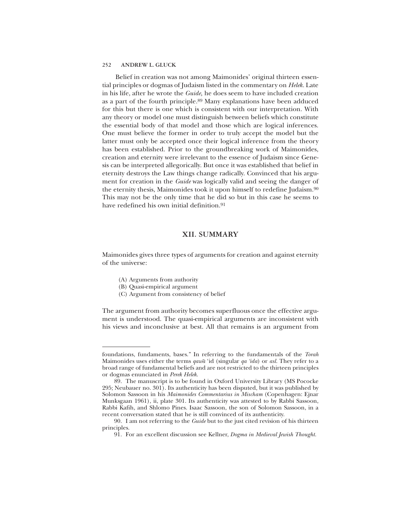Belief in creation was not among Maimonides' original thirteen essential principles or dogmas of Judaism listed in the commentary on *Helek.* Late in his life, after he wrote the *Guide,* he does seem to have included creation as a part of the fourth principle.89 Many explanations have been adduced for this but there is one which is consistent with our interpretation. With any theory or model one must distinguish between beliefs which constitute the essential body of that model and those which are logical inferences. One must believe the former in order to truly accept the model but the latter must only be accepted once their logical inference from the theory has been established. Prior to the groundbreaking work of Maimonides, creation and eternity were irrelevant to the essence of Judaism since Genesis can be interpreted allegorically. But once it was established that belief in eternity destroys the Law things change radically. Convinced that his argument for creation in the *Guide* was logically valid and seeing the danger of the eternity thesis, Maimonides took it upon himself to redefine Judaism.90 This may not be the only time that he did so but in this case he seems to have redefined his own initial definition.<sup>91</sup>

### **XII. SUMMARY**

Maimonides gives three types of arguments for creation and against eternity of the universe:

- (A) Arguments from authority
- (B) Quasi-empirical argument
- (C) Argument from consistency of belief

The argument from authority becomes superfluous once the effective argument is understood. The quasi-empirical arguments are inconsistent with his views and inconclusive at best. All that remains is an argument from

foundations, fundaments, bases." In referring to the fundamentals of the *Torah* Maimonides uses either the terms *qaw*a 'id (singular *qa 'ida*) or *asl*. They refer to a broad range of fundamental beliefs and are not restricted to the thirteen principles or dogmas enunciated in *Perek Helek.*

<sup>89.</sup> The manuscript is to be found in Oxford University Library (MS Pococke 295; Neubauer no. 301). Its authenticity has been disputed, but it was published by Solomon Sassoon in his *Maimonides Commentarius in Mischam* (Copenhagen: Ejnar Munksgaan 1961), ii, plate 301. Its authenticity was attested to by Rabbi Sassoon, Rabbi Kafih, and Shlomo Pines. Isaac Sassoon, the son of Solomon Sassoon, in a recent conversation stated that he is still convinced of its authenticity.

<sup>90.</sup> I am not referring to the *Guide* but to the just cited revision of his thirteen principles.

<sup>91.</sup> For an excellent discussion see Kellner, *Dogma in Medieval Jewish Thought.*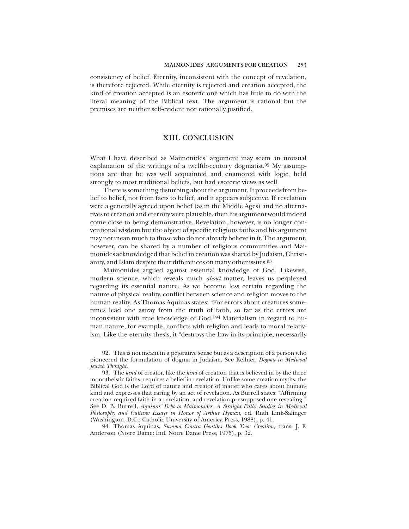consistency of belief. Eternity, inconsistent with the concept of revelation, is therefore rejected. While eternity is rejected and creation accepted, the kind of creation accepted is an esoteric one which has little to do with the literal meaning of the Biblical text. The argument is rational but the premises are neither self-evident nor rationally justified.

### **XIII. CONCLUSION**

What I have described as Maimonides' argument may seem an unusual explanation of the writings of a twelfth-century dogmatist.92 My assumptions are that he was well acquainted and enamored with logic, held strongly to most traditional beliefs, but had esoteric views as well.

There is something disturbing about the argument. It proceeds from belief to belief, not from facts to belief, and it appears subjective. If revelation were a generally agreed upon belief (as in the Middle Ages) and no alternatives to creation and eternity were plausible, then his argument would indeed come close to being demonstrative. Revelation, however, is no longer conventional wisdom but the object of specific religious faiths and his argument may not mean much to those who do not already believe in it. The argument, however, can be shared by a number of religious communities and Maimonides acknowledged that belief in creation was shared by Judaism, Christianity, and Islam despite their differences on many other issues.93

Maimonides argued against essential knowledge of God. Likewise, modern science, which reveals much *about* matter, leaves us perplexed regarding its essential nature. As we become less certain regarding the nature of physical reality, conflict between science and religion moves to the human reality. As Thomas Aquinas states: "For errors about creatures sometimes lead one astray from the truth of faith, so far as the errors are inconsistent with true knowledge of God."94 Materialism in regard to human nature, for example, conflicts with religion and leads to moral relativism. Like the eternity thesis, it "destroys the Law in its principle, necessarily

92. This is not meant in a pejorative sense but as a description of a person who pioneered the formulation of dogma in Judaism. See Kellner, *Dogma in Medieval Jewish Thought.*

93. The *kind* of creator, like the *kind* of creation that is believed in by the three monotheistic faiths, requires a belief in revelation. Unlike some creation myths, the Biblical God is the Lord of nature and creator of matter who cares about humankind and expresses that caring by an act of revelation. As Burrell states: "Affirming creation required faith in a revelation, and revelation presupposed one revealing." See D. B. Burrell, *Aquinas' Debt to Maimonides, A Straight Path: Studies in Medieval Philosophy and Culture: Essays in Honor of Arthur Hyman,* ed. Ruth Link-Salinger (Washington, D.C.: Catholic University of America Press, 1988), p. 41.

94. Thomas Aquinas, *Summa Contra Gentiles Book Two: Creation,* trans. J. F. Anderson (Notre Dame: Ind. Notre Dame Press, 1975), p. 32.